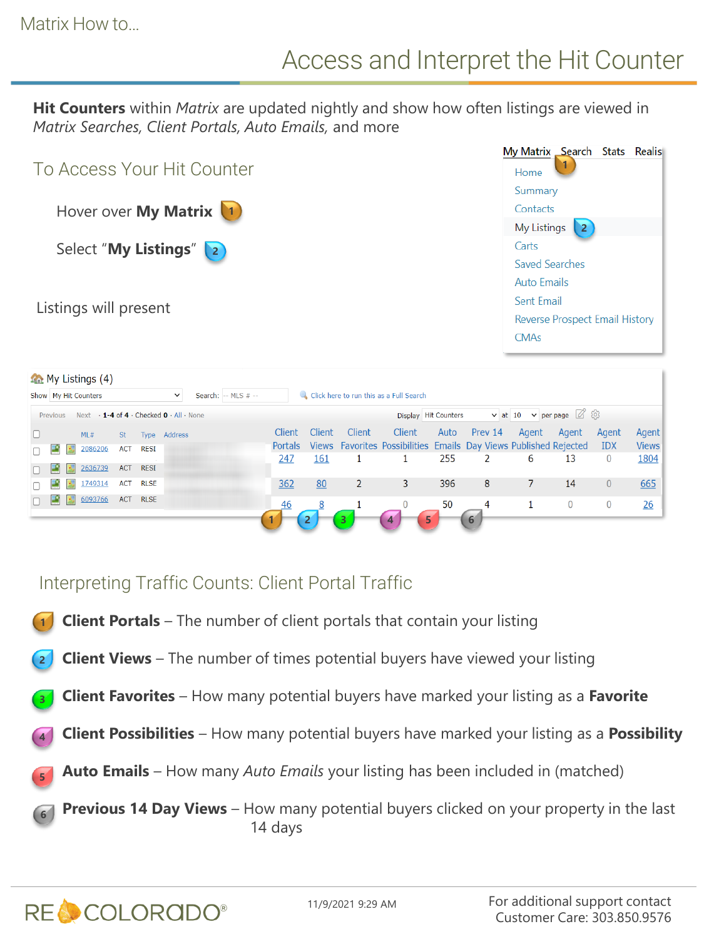**Hit Counters** within *Matrix* are updated nightly and show how often listings are viewed in *Matrix Searches, Client Portals, Auto Emails,* and more



|          |                | $\mathcal{L}$ My Listings (4)                                    |            |             |              |                     |         |            |               |                                                                   |      |         |                                        |                |            |              |
|----------|----------------|------------------------------------------------------------------|------------|-------------|--------------|---------------------|---------|------------|---------------|-------------------------------------------------------------------|------|---------|----------------------------------------|----------------|------------|--------------|
|          |                | Show   My Hit Counters                                           |            |             | $\checkmark$ | Search: -- MLS # -- |         |            |               | Click here to run this as a Full Search                           |      |         |                                        |                |            |              |
| Previous |                | Next $\cdot$ 1-4 of 4 $\cdot$ Checked 0 $\cdot$ All $\cdot$ None |            |             |              |                     |         |            |               | Display Hit Counters                                              |      |         | v at 10 v per page $\oslash$ $\oslash$ |                |            |              |
|          |                | ML#                                                              | St         |             | Type Address |                     | Client  | Client     | <b>Client</b> | Client                                                            | Auto | Prev 14 | Agent                                  | Agent          | Agent      | Agent        |
|          |                | 2086206                                                          | <b>ACT</b> | RESI        |              |                     | Portals |            |               | Views Favorites Possibilities Emails Day Views Published Rejected |      |         |                                        |                | <b>IDX</b> | <b>Views</b> |
|          |                |                                                                  |            |             |              |                     | 247     | <u>161</u> |               |                                                                   | 255  |         | 6                                      | 13             | 0          | 1804         |
|          | E S            | 2636739                                                          | <b>ACT</b> | <b>RESI</b> |              |                     |         |            |               |                                                                   |      |         |                                        |                |            |              |
|          |                | 1749314                                                          |            | ACT RLSE    |              |                     | 362     | 80         |               | 3                                                                 | 396  | 8       |                                        | 14             | 0          | 665          |
|          | <b>Exiting</b> | 6093766                                                          | <b>ACT</b> | <b>RLSE</b> |              |                     | 46      | 8          |               | $\overline{0}$                                                    | 50   | 4       |                                        | $\overline{0}$ | 0          | 26           |
|          |                |                                                                  |            |             |              |                     |         |            |               | 5<br>4                                                            |      | 6       |                                        |                |            |              |

## Interpreting Traffic Counts: Client Portal Traffic